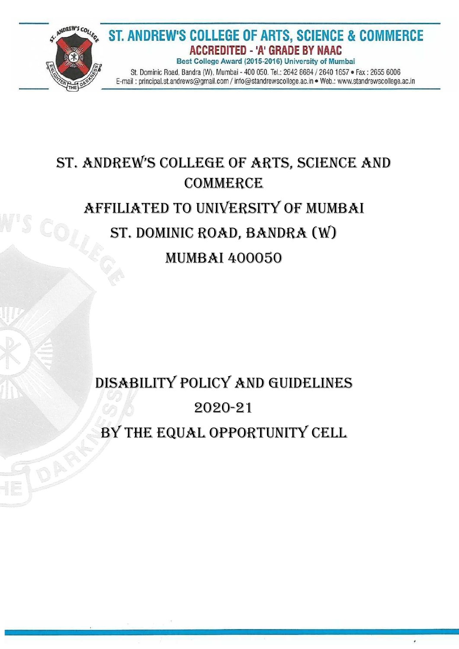

#### ST. ANDREW'S COLLEGE OF ARTS, SCIENCE & COMMERCE **ACCREDITED - 'A' GRADE BY NAAC** Best College Award (2015-2016) University of Mumbai

St. Dominic Road, Bandra (W), Mumbai - 400 050. Tel.: 2642 8684 / 2640 1657 · Fax: 2655 6006 E-mail: principal.st.andrews@gmail.com / info@standrewscollege.ac.in . Web.: www.standrewscollege.ac.in

# St. Andrew'S College of ArtS, SCienCe And **COMMERCE** Affiliated To University of Mumbai St. Dominic Road, Bandra (W) Mumbai 400050

# Disability Policy and Guidelines 2020-21 By the Equal Opportunity Cell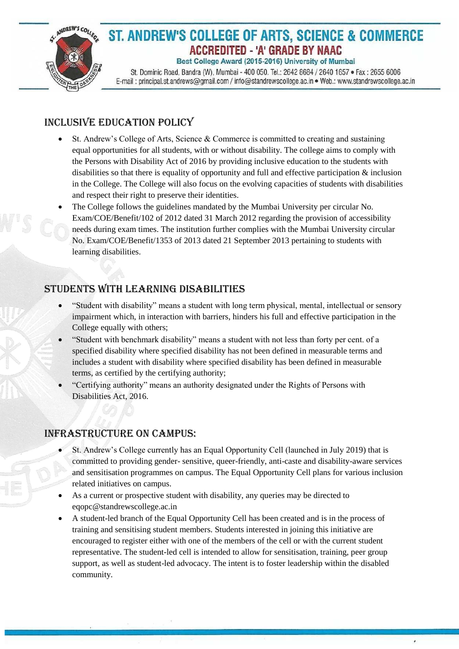

# ST. ANDREW'S COLLEGE OF ARTS, SCIENCE & COMMERCE **ACCREDITED - 'A' GRADE BY NAAC**

Best College Award (2015-2016) University of Mumbai

St. Dominic Road, Bandra (W), Mumbai - 400 050. Tel.: 2642 8684 / 2640 1657 · Fax: 2655 6006 E-mail: principal.st.andrews@gmail.com / info@standrewscollege.ac.in . Web.: www.standrewscollege.ac.in

## Inclusive Education Policy

- St. Andrew's College of Arts, Science & Commerce is committed to creating and sustaining equal opportunities for all students, with or without disability. The college aims to comply with the Persons with Disability Act of 2016 by providing inclusive education to the students with disabilities so that there is equality of opportunity and full and effective participation & inclusion in the College. The College will also focus on the evolving capacities of students with disabilities and respect their right to preserve their identities.
- The College follows the guidelines mandated by the Mumbai University per circular No. Exam/COE/Benefit/102 of 2012 dated 31 March 2012 regarding the provision of accessibility needs during exam times. The institution further complies with the Mumbai University circular No. Exam/COE/Benefit/1353 of 2013 dated 21 September 2013 pertaining to students with learning disabilities.

### Students with learning disabilities

- "Student with disability" means a student with long term physical, mental, intellectual or sensory impairment which, in interaction with barriers, hinders his full and effective participation in the College equally with others;
- "Student with benchmark disability" means a student with not less than forty per cent. of a specified disability where specified disability has not been defined in measurable terms and includes a student with disability where specified disability has been defined in measurable terms, as certified by the certifying authority;
- "Certifying authority" means an authority designated under the Rights of Persons with Disabilities Act, 2016.

### Infrastructure on campus:

- St. Andrew's College currently has an Equal Opportunity Cell (launched in July 2019) that is committed to providing gender- sensitive, queer-friendly, anti-caste and disability-aware services and sensitisation programmes on campus. The Equal Opportunity Cell plans for various inclusion related initiatives on campus.
- As a current or prospective student with disability, any queries may be directed to eqopc@standrewscollege.ac.in
- A student-led branch of the Equal Opportunity Cell has been created and is in the process of training and sensitising student members. Students interested in joining this initiative are encouraged to register either with one of the members of the cell or with the current student representative. The student-led cell is intended to allow for sensitisation, training, peer group support, as well as student-led advocacy. The intent is to foster leadership within the disabled community.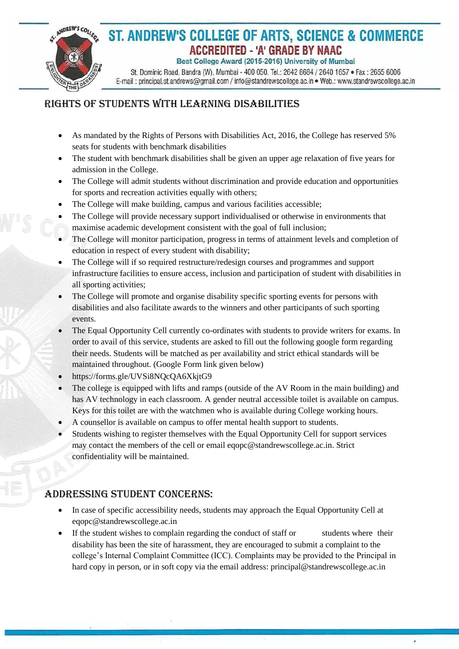

# ST. ANDREW'S COLLEGE OF ARTS, SCIENCE & COMMERCE **ACCREDITED - 'A' GRADE BY NAAC**

Best College Award (2015-2016) University of Mumbai

St. Dominic Road, Bandra (W), Mumbai - 400 050. Tel.: 2642 8684 / 2640 1657 · Fax: 2655 6006 E-mail: principal.st.andrews@gmail.com / info@standrewscollege.ac.in . Web.: www.standrewscollege.ac.in

## Rights of Students with learning disabilities

- As mandated by the Rights of Persons with Disabilities Act, 2016, the College has reserved 5% seats for students with benchmark disabilities
- The student with benchmark disabilities shall be given an upper age relaxation of five years for admission in the College.
- The College will admit students without discrimination and provide education and opportunities for sports and recreation activities equally with others;
- The College will make building, campus and various facilities accessible;
- The College will provide necessary support individualised or otherwise in environments that maximise academic development consistent with the goal of full inclusion;
- The College will monitor participation, progress in terms of attainment levels and completion of education in respect of every student with disability;
- The College will if so required restructure/redesign courses and programmes and support infrastructure facilities to ensure access, inclusion and participation of student with disabilities in all sporting activities;
- The College will promote and organise disability specific sporting events for persons with disabilities and also facilitate awards to the winners and other participants of such sporting events.
- The Equal Opportunity Cell currently co-ordinates with students to provide writers for exams. In order to avail of this service, students are asked to fill out the following google form regarding their needs. Students will be matched as per availability and strict ethical standards will be maintained throughout. (Google Form link given below)
- https://forms.gle/UVSi8NQcQA6XkjtG9
- The college is equipped with lifts and ramps (outside of the AV Room in the main building) and has AV technology in each classroom. A gender neutral accessible toilet is available on campus. Keys for this toilet are with the watchmen who is available during College working hours.
- A counsellor is available on campus to offer mental health support to students.
- Students wishing to register themselves with the Equal Opportunity Cell for support services may contact the members of the cell or email eqopc@standrewscollege.ac.in. Strict confidentiality will be maintained.

#### Addressing Student Concerns:

- In case of specific accessibility needs, students may approach the Equal Opportunity Cell at eqopc@standrewscollege.ac.in
- If the student wishes to complain regarding the conduct of staff or students where their disability has been the site of harassment, they are encouraged to submit a complaint to the college's Internal Complaint Committee (ICC). Complaints may be provided to the Principal in hard copy in person, or in soft copy via the email address: principal@standrewscollege.ac.in